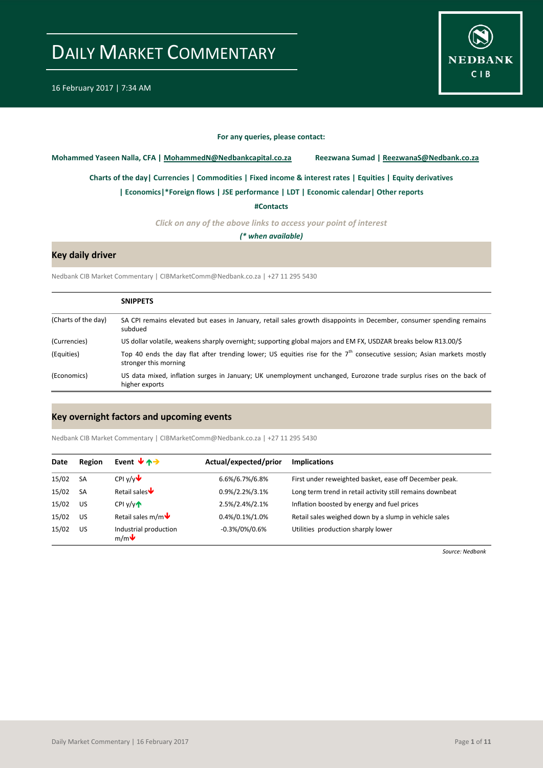

#### **For any queries, please contact:**

<span id="page-0-0"></span>**Mohammed Yaseen Nalla, CFA | MohammedN@Nedbankcapital.co.za Reezwana Sumad | ReezwanaS@Nedbank.co.za**

**[Charts of the day|](#page-1-0) [Currencies](#page-2-0) [| Commodities](#page-3-0) | [Fixed income & interest rates](#page-4-0) [| Equities](#page-5-0) | Equity derivatives**

**[| Economics|](#page-6-0)\*Foreign flows | [JSE performance](#page-7-0) | LDT [| Economic calendar|](#page-8-0) Other reports** 

**[#Contacts](#page-9-0)**

*Click on any of the above links to access your point of interest*

*(\* when available)*

### **Key daily driver**

Nedbank CIB Market Commentary | CIBMarketComm@Nedbank.co.za | +27 11 295 5430

|                     | <b>SNIPPETS</b>                                                                                                                                            |
|---------------------|------------------------------------------------------------------------------------------------------------------------------------------------------------|
| (Charts of the day) | SA CPI remains elevated but eases in January, retail sales growth disappoints in December, consumer spending remains<br>subdued                            |
| (Currencies)        | US dollar volatile, weakens sharply overnight; supporting global majors and EM FX, USDZAR breaks below R13.00/\$                                           |
| (Equities)          | Top 40 ends the day flat after trending lower; US equities rise for the 7 <sup>th</sup> consecutive session; Asian markets mostly<br>stronger this morning |
| (Economics)         | US data mixed, inflation surges in January; UK unemployment unchanged, Eurozone trade surplus rises on the back of<br>higher exports                       |

#### **Key overnight factors and upcoming events**

Nedbank CIB Market Commentary | CIBMarketComm@Nedbank.co.za | +27 11 295 5430

| Date  | Region    | Event $\forall$ $\land \rightarrow$                  | Actual/expected/prior | <b>Implications</b>                                       |
|-------|-----------|------------------------------------------------------|-----------------------|-----------------------------------------------------------|
| 15/02 | <b>SA</b> | CPI $v/v$                                            | 6.6%/6.7%/6.8%        | First under reweighted basket, ease off December peak.    |
| 15/02 | <b>SA</b> | Retail sales $\blacklozenge$                         | 0.9%/2.2%/3.1%        | Long term trend in retail activity still remains downbeat |
| 15/02 | <b>US</b> | $CPI$ $V/V$                                          | 2.5%/2.4%/2.1%        | Inflation boosted by energy and fuel prices               |
| 15/02 | <b>US</b> | Retail sales m/m $\blacklozenge$                     | 0.4%/0.1%/1.0%        | Retail sales weighed down by a slump in vehicle sales     |
| 15/02 | US        | Industrial production<br>$m/m$ $\blacktriangleright$ | $-0.3\%/0\%/0.6\%$    | Utilities production sharply lower                        |

*Source: Nedbank*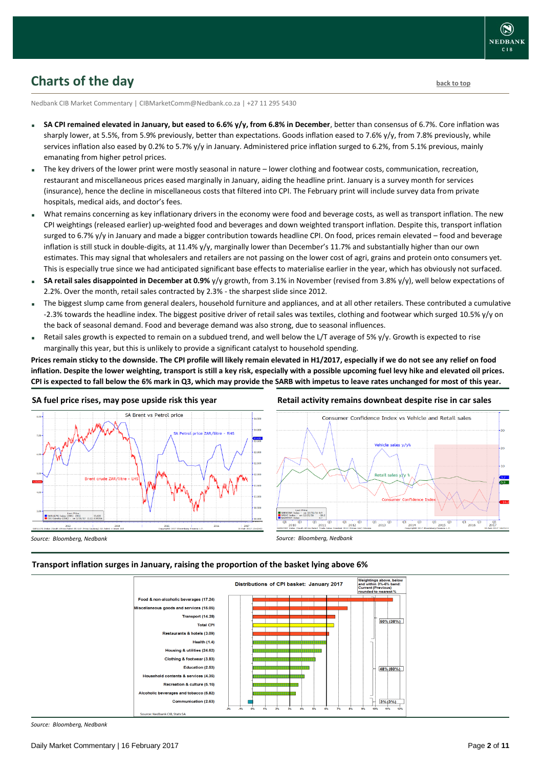

### <span id="page-1-0"></span>**Charts of the day** [back to top](#page-0-0) **back to top**

Nedbank CIB Market Commentary | CIBMarketComm@Nedbank.co.za | +27 11 295 5430

- **SA CPI remained elevated in January, but eased to 6.6% y/y, from 6.8% in December**, better than consensus of 6.7%. Core inflation was sharply lower, at 5.5%, from 5.9% previously, better than expectations. Goods inflation eased to 7.6% y/y, from 7.8% previously, while services inflation also eased by 0.2% to 5.7% y/y in January. Administered price inflation surged to 6.2%, from 5.1% previous, mainly emanating from higher petrol prices.
- The key drivers of the lower print were mostly seasonal in nature lower clothing and footwear costs, communication, recreation, restaurant and miscellaneous prices eased marginally in January, aiding the headline print. January is a survey month for services (insurance), hence the decline in miscellaneous costs that filtered into CPI. The February print will include survey data from private hospitals, medical aids, and doctor's fees.
- What remains concerning as key inflationary drivers in the economy were food and beverage costs, as well as transport inflation. The new CPI weightings (released earlier) up-weighted food and beverages and down weighted transport inflation. Despite this, transport inflation surged to 6.7% y/y in January and made a bigger contribution towards headline CPI. On food, prices remain elevated – food and beverage inflation is still stuck in double-digits, at 11.4% y/y, marginally lower than December's 11.7% and substantially higher than our own estimates. This may signal that wholesalers and retailers are not passing on the lower cost of agri, grains and protein onto consumers yet. This is especially true since we had anticipated significant base effects to materialise earlier in the year, which has obviously not surfaced.
- **SA retail sales disappointed in December at 0.9%** y/y growth, from 3.1% in November (revised from 3.8% y/y), well below expectations of 2.2%. Over the month, retail sales contracted by 2.3% - the sharpest slide since 2012.
- The biggest slump came from general dealers, household furniture and appliances, and at all other retailers. These contributed a cumulative -2.3% towards the headline index. The biggest positive driver of retail sales was textiles, clothing and footwear which surged 10.5% y/y on the back of seasonal demand. Food and beverage demand was also strong, due to seasonal influences.
- Retail sales growth is expected to remain on a subdued trend, and well below the L/T average of 5% y/y. Growth is expected to rise marginally this year, but this is unlikely to provide a significant catalyst to household spending.

**Prices remain sticky to the downside. The CPI profile will likely remain elevated in H1/2017, especially if we do not see any relief on food inflation. Despite the lower weighting, transport is still a key risk, especially with a possible upcoming fuel levy hike and elevated oil prices. CPI is expected to fall below the 6% mark in Q3, which may provide the SARB with impetus to leave rates unchanged for most of this year.** 



#### **SA fuel price rises, may pose upside risk this year**



*Source: Bloomberg, Nedbank*

*Source: Bloomberg, Nedbank*

#### **Transport inflation surges in January, raising the proportion of the basket lying above 6%**



*Source: Bloomberg, Nedbank*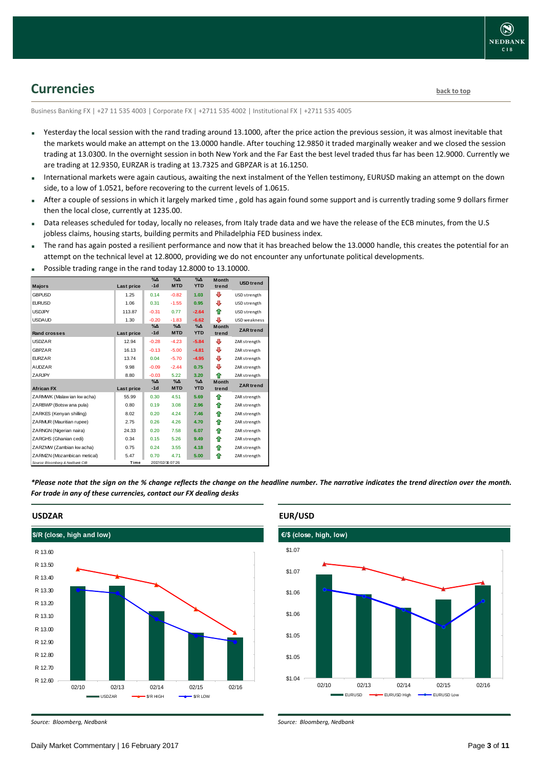### <span id="page-2-0"></span>**Currencies [back to top](#page-0-0)**

Business Banking FX | +27 11 535 4003 | Corporate FX | +2711 535 4002 | Institutional FX | +2711 535 4005

- Yesterday the local session with the rand trading around 13.1000, after the price action the previous session, it was almost inevitable that the markets would make an attempt on the 13.0000 handle. After touching 12.9850 it traded marginally weaker and we closed the session trading at 13.0300. In the overnight session in both New York and the Far East the best level traded thus far has been 12.9000. Currently we are trading at 12.9350, EURZAR is trading at 13.7325 and GBPZAR is at 16.1250.
- International markets were again cautious, awaiting the next instalment of the Yellen testimony, EURUSD making an attempt on the down side, to a low of 1.0521, before recovering to the current levels of 1.0615.
- After a couple of sessions in which it largely marked time , gold has again found some support and is currently trading some 9 dollars firmer then the local close, currently at 1235.00.
- Data releases scheduled for today, locally no releases, from Italy trade data and we have the release of the ECB minutes, from the U.S jobless claims, housing starts, building permits and Philadelphia FED business index.
- The rand has again posted a resilient performance and now that it has breached below the 13.0000 handle, this creates the potential for an attempt on the technical level at 12.8000, providing we do not encounter any unfortunate political developments.

|                                 |                   | $\sqrt{2}$    | $\sqrt{\Delta}$  | $\sqrt{\Delta}$ |                       |                     |
|---------------------------------|-------------------|---------------|------------------|-----------------|-----------------------|---------------------|
| <b>Majors</b>                   | Last price        | $-1d$         | <b>MTD</b>       | <b>YTD</b>      | <b>Month</b><br>trend | <b>USD</b> trend    |
| <b>GBPUSD</b>                   | 1.25              | 0.14          | $-0.82$          | 1.03            | ⊕                     | USD strength        |
| <b>FURUSD</b>                   | 1.06              | 0.31          | $-1.55$          | 0.95            | ⊕                     | USD strength        |
| <b>USDJPY</b>                   | 113.87            | $-0.31$       | 0.77             | $-2.64$         | ⇑                     | USD strength        |
| <b>USDAUD</b>                   | 1.30              | $-0.20$       | $-1.83$          | $-6.62$         | ⊕                     | <b>USD</b> weakness |
|                                 |                   | $\%$ $\Delta$ | $\%$ $\Delta$    | $\%$ $\Delta$   | <b>Month</b>          | <b>ZAR</b> trend    |
| <b>Rand crosses</b>             | <b>Last price</b> | $-1d$         | <b>MTD</b>       | <b>YTD</b>      | trend                 |                     |
| <b>USDZAR</b>                   | 12.94             | $-0.28$       | $-4.23$          | $-5.84$         | ⊕                     | ZAR strength        |
| <b>GBPZAR</b>                   | 16.13             | $-0.13$       | $-5.00$          | $-4.81$         | ⊕                     | ZAR strength        |
| <b>FURZAR</b>                   | 13.74             | 0.04          | $-5.70$          | $-4.95$         | ⊕                     | ZAR strength        |
| <b>AUDZAR</b>                   | 9.98              | $-0.09$       | $-2.44$          | 0.75            | ⊕                     | ZAR strength        |
| ZARJPY                          | 8.80              | $-0.03$       | 5.22             | 3.20            | ♠                     | ZAR strength        |
|                                 |                   | $\%$ $\Delta$ | $\%$ $\Delta$    | $\%$ $\Delta$   | Month                 | <b>ZAR</b> trend    |
| <b>African FX</b>               | Last price        | $-1d$         | <b>MTD</b>       | <b>YTD</b>      | trend                 |                     |
| ZARMWK (Malaw ian kw acha)      | 55.99             | 0.30          | 4.51             | 5.69            | ♠                     | ZAR strength        |
| ZARBWP (Botsw ana pula)         | 0.80              | 0.19          | 3.08             | 2.96            | ♠                     | ZAR strength        |
| ZARKES (Kenyan shilling)        | 8.02              | 0.20          | 4.24             | 7.46            | ⇑                     | ZAR strength        |
| ZARMUR (Mauritian rupee)        | 2.75              | 0.26          | 4.26             | 4.70            | ⇑                     | ZAR strength        |
| ZARNGN (Nigerian naira)         | 24.33             | 0.20          | 7.58             | 6.07            | ♠                     | ZAR strength        |
| ZARGHS (Ghanian cedi)           | 0.34              | 0.15          | 5.26             | 9.49            | ⇑                     | ZAR strength        |
| ZARZMW (Zambian kw acha)        | 0.75              | 0.24          | 3.55             | 4.18            | ⇑                     | ZAR strength        |
| ZARMZN (Mozambican metical)     | 5.47              | 0.70          | 4.71             | 5.00            | ♠                     | ZAR strength        |
| Source: Bloomberg & Nedbank CIB | Time              |               | 2017/02/16 07:26 |                 |                       |                     |

Possible trading range in the rand today 12.8000 to 13.10000.

*\*Please note that the sign on the % change reflects the change on the headline number. The narrative indicates the trend direction over the month. For trade in any of these currencies, contact our FX dealing desks*



### **USDZAR**



*Source: Bloomberg, Nedbank*

*Source: Bloomberg, Nedbank*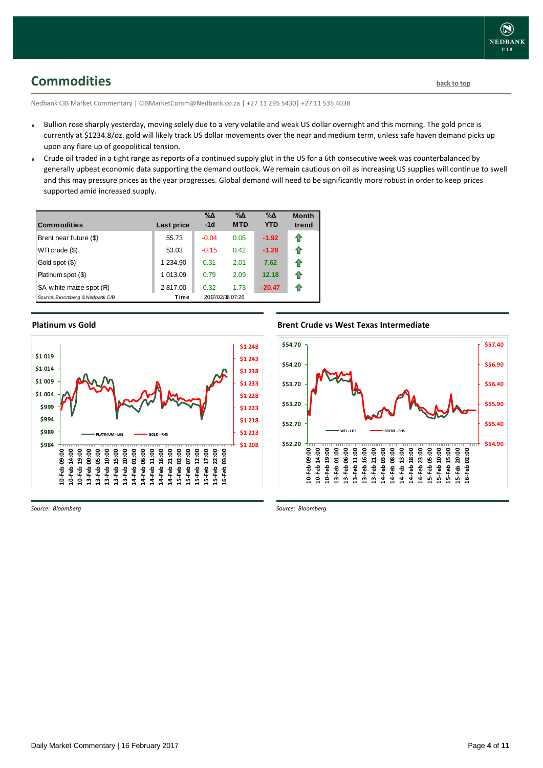## <span id="page-3-0"></span>**Commodities [back to top](#page-0-0)**

Nedbank CIB Market Commentary | CIBMarketComm@Nedbank.co.za | +27 11 295 5430| +27 11 535 4038

- Bullion rose sharply yesterday, moving solely due to a very volatile and weak US dollar overnight and this morning. The gold price is currently at \$1234.8/oz. gold will likely track US dollar movements over the near and medium term, unless safe haven demand picks up upon any flare up of geopolitical tension.
- Crude oil traded in a tight range as reports of a continued supply glut in the US for a 6th consecutive week was counterbalanced by generally upbeat economic data supporting the demand outlook. We remain cautious on oil as increasing US supplies will continue to swell and this may pressure prices as the year progresses. Global demand will need to be significantly more robust in order to keep prices supported amid increased supply.

| <b>Commodities</b>              | Last price  | $\% \Delta$<br>$-1d$ | $\% \Delta$<br><b>MTD</b> | $\% \Delta$<br><b>YTD</b> | <b>Month</b><br>trend |
|---------------------------------|-------------|----------------------|---------------------------|---------------------------|-----------------------|
| Brent near future (\$)          | 55.73       | $-0.04$              | 0.05                      | $-1.92$                   | ⇑                     |
| WTI crude (\$)                  | 53.03       | $-0.15$              | 0.42                      | $-1.28$                   | 1                     |
| Gold spot (\$)                  | 1 2 3 4 9 0 | 0.31                 | 2.01                      | 7.62                      | 1                     |
| Platinum spot (\$)              | 1 013.09    | 0.79                 | 2.09                      | 12.18                     | ⇑                     |
| SA w hite maize spot (R)        | 2817.00     | 0.32                 | 1.73                      | $-20.47$                  | 11                    |
| Source: Bloomberg & Nedbank CIB | Time        |                      | 2017/02/16 07:26          |                           |                       |

**Platinum vs Gold**



*Source: Bloomberg*

#### **Brent Crude vs West Texas Intermediate**



*Source: Bloomberg*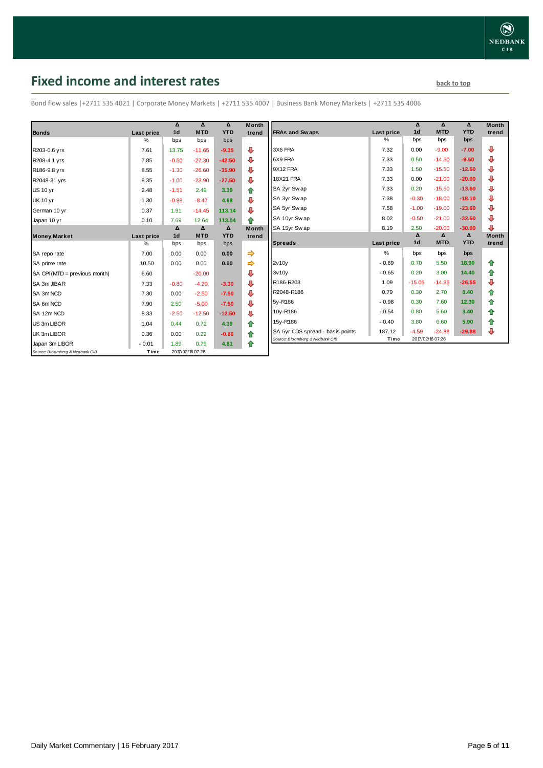## <span id="page-4-0"></span>**Fixed income and interest rates back to the line of the set of the set of the set of the set of the set of the set of the set of the set of the set of the set of the set of the set of the set of the set of the set of th**

Bond flow sales |+2711 535 4021 | Corporate Money Markets | +2711 535 4007 | Business Bank Money Markets | +2711 535 4006

|                                 |            | Δ              | Δ                | Δ          | <b>Month</b> |
|---------------------------------|------------|----------------|------------------|------------|--------------|
| <b>Bonds</b>                    | Last price | 1 <sub>d</sub> | <b>MTD</b>       | <b>YTD</b> | trend        |
|                                 | %          | bps            | bps              | bps        |              |
| R203-0.6 yrs                    | 7.61       | 13.75          | $-11.65$         | $-9.35$    | J            |
| R208-4.1 yrs                    | 7.85       | $-0.50$        | $-27.30$         | $-42.50$   | ⊕            |
| R186-9.8 yrs                    | 8.55       | $-1.30$        | $-26.60$         | $-35.90$   | ⊕            |
| R2048-31 yrs                    | 9.35       | $-1.00$        | $-23.90$         | $-27.50$   | ⊕            |
| <b>US 10 yr</b>                 | 2.48       | $-1.51$        | 2.49             | 3.39       | 合            |
| <b>UK 10 yr</b>                 | 1.30       | $-0.99$        | $-8.47$          | 4.68       | ⊕            |
| German 10 yr                    | 0.37       | 1.91           | $-14.45$         | 113.14     | ⊕            |
| Japan 10 yr                     | 0.10       | 7.69           | 12.64            | 113.04     | ♠            |
|                                 |            | Δ              | Δ                | Δ          | <b>Month</b> |
| <b>Money Market</b>             | Last price | 1 <sub>d</sub> | <b>MTD</b>       | <b>YTD</b> | trend        |
|                                 | $\%$       | bps            | bps              | bps        |              |
| SA repo rate                    | 7.00       | 0.00           | 0.00             | 0.00       | ⇛            |
| SA prime rate                   | 10.50      | 0.00           | 0.00             | 0.00       |              |
| SA CPI (MTD = previous month)   | 6.60       |                | $-20.00$         |            | ⊕            |
| SA 3m JIBAR                     | 7.33       | $-0.80$        | $-4.20$          | $-3.30$    | ⊕            |
| SA 3m NCD                       | 7.30       | 0.00           | $-2.50$          | $-7.50$    | ⊕            |
| SA 6m NCD                       | 7.90       | 2.50           | $-5.00$          | $-7.50$    | ⇩            |
| SA 12m NCD                      | 8.33       | $-2.50$        | $-12.50$         | $-12.50$   | ⊕            |
| US 3m LIBOR                     | 1.04       | 0.44           | 0.72             | 4.39       | ✿            |
| UK 3m LIBOR                     | 0.36       | 0.00           | 0.22             | $-0.86$    | ✿            |
| Japan 3m LIBOR                  | $-0.01$    | 1.89           | 0.79             | 4.81       | ⇑            |
| Source: Bloomberg & Nedbank CIB | Time       |                | 2017/02/16 07:26 |            |              |

|                                  |                   | Δ              | Δ          | Δ          | <b>Month</b> |
|----------------------------------|-------------------|----------------|------------|------------|--------------|
| <b>FRAs and Swaps</b>            | Last price        | 1 <sub>d</sub> | <b>MTD</b> | <b>YTD</b> | trend        |
|                                  | %                 | bps            | bps        | bps        |              |
| 3X6 FRA                          | 7.32              | 0.00           | $-9.00$    | $-7.00$    | ⊕            |
| 6X9 FRA                          | 7.33              | 0.50           | $-14.50$   | $-9.50$    | ⊕            |
| 9X12 FRA                         | 7.33              | 1.50           | $-15.50$   | $-12.50$   | ⊕            |
| <b>18X21 FRA</b>                 | 7.33              | 0.00           | $-21.00$   | $-20.00$   | ⊕            |
| SA 2yr Sw ap                     | 7.33              | 0.20           | $-15.50$   | $-13.60$   | ⊕            |
| SA 3yr Swap                      | 7.38              | $-0.30$        | $-18.00$   | $-18.10$   | ⊕            |
| SA 5yr Sw ap                     | 7.58              | $-1.00$        | $-19.00$   | $-23.60$   | ⊕            |
| SA 10yr Swap                     | 8.02              | $-0.50$        | $-21.00$   | $-32.50$   | ⊕            |
| SA 15yr Swap                     | 8.19              | 2.50           | $-20.00$   | $-30.00$   | ⊕            |
|                                  |                   | Δ              | Δ          | Δ          | <b>Month</b> |
| <b>Spreads</b>                   | <b>Last price</b> | 1 <sub>d</sub> | <b>MTD</b> | <b>YTD</b> | trend        |
|                                  |                   |                |            |            |              |
|                                  | %                 | bps            | bps        | bps        |              |
| 2v10v                            | $-0.69$           | 0.70           | 5.50       | 18.90      | ⇑            |
| 3v10v                            | $-0.65$           | 0.20           | 3.00       | 14.40      | ✿            |
| R186-R203                        | 1.09              | $-15.05$       | $-14.95$   | $-26.55$   | ⊕            |
| R2048-R186                       | 0.79              | 0.30           | 2.70       | 8.40       | ✿            |
| 5y-R186                          | $-0.98$           | 0.30           | 7.60       | 12.30      | ✿            |
| 10y-R186                         | $-0.54$           | 0.80           | 5.60       | 3.40       | 合            |
| 15y-R186                         | $-0.40$           | 3.80           | 6.60       | 5.90       | ✿            |
| SA 5yr CDS spread - basis points | 187.12            | $-4.59$        | $-24.88$   | $-29.88$   | ⊕            |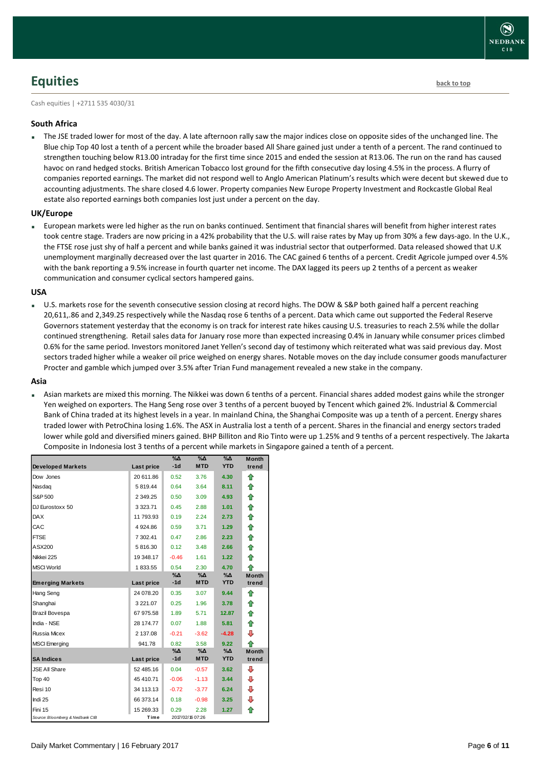# **NEDBANI**  $CIB$

## <span id="page-5-0"></span>**Equities [back to top](#page-0-0)**

Cash equities | +2711 535 4030/31

### **South Africa**

 The JSE traded lower for most of the day. A late afternoon rally saw the major indices close on opposite sides of the unchanged line. The Blue chip Top 40 lost a tenth of a percent while the broader based All Share gained just under a tenth of a percent. The rand continued to strengthen touching below R13.00 intraday for the first time since 2015 and ended the session at R13.06. The run on the rand has caused havoc on rand hedged stocks. British American Tobacco lost ground for the fifth consecutive day losing 4.5% in the process. A flurry of companies reported earnings. The market did not respond well to Anglo American Platinum's results which were decent but skewed due to accounting adjustments. The share closed 4.6 lower. Property companies New Europe Property Investment and Rockcastle Global Real estate also reported earnings both companies lost just under a percent on the day.

#### **UK/Europe**

 European markets were led higher as the run on banks continued. Sentiment that financial shares will benefit from higher interest rates took centre stage. Traders are now pricing in a 42% probability that the U.S. will raise rates by May up from 30% a few days-ago. In the U.K., the FTSE rose just shy of half a percent and while banks gained it was industrial sector that outperformed. Data released showed that U.K unemployment marginally decreased over the last quarter in 2016. The CAC gained 6 tenths of a percent. Credit Agricole jumped over 4.5% with the bank reporting a 9.5% increase in fourth quarter net income. The DAX lagged its peers up 2 tenths of a percent as weaker communication and consumer cyclical sectors hampered gains.

#### **USA**

 U.S. markets rose for the seventh consecutive session closing at record highs. The DOW & S&P both gained half a percent reaching 20,611,.86 and 2,349.25 respectively while the Nasdaq rose 6 tenths of a percent. Data which came out supported the Federal Reserve Governors statement yesterday that the economy is on track for interest rate hikes causing U.S. treasuries to reach 2.5% while the dollar continued strengthening. Retail sales data for January rose more than expected increasing 0.4% in January while consumer prices climbed 0.6% for the same period. Investors monitored Janet Yellen's second day of testimony which reiterated what was said previous day. Most sectors traded higher while a weaker oil price weighed on energy shares. Notable moves on the day include consumer goods manufacturer Procter and gamble which jumped over 3.5% after Trian Fund management revealed a new stake in the company.

#### **Asia**

 Asian markets are mixed this morning. The Nikkei was down 6 tenths of a percent. Financial shares added modest gains while the stronger Yen weighed on exporters. The Hang Seng rose over 3 tenths of a percent buoyed by Tencent which gained 2%. Industrial & Commercial Bank of China traded at its highest levels in a year. In mainland China, the Shanghai Composite was up a tenth of a percent. Energy shares traded lower with PetroChina losing 1.6%. The ASX in Australia lost a tenth of a percent. Shares in the financial and energy sectors traded lower while gold and diversified miners gained. BHP Billiton and Rio Tinto were up 1.25% and 9 tenths of a percent respectively. The Jakarta Composite in Indonesia lost 3 tenths of a percent while markets in Singapore gained a tenth of a percent.

| <b>Developed Markets</b>        | Last price    | $\%$ $\Delta$<br>$-1d$ | $\%$ $\Delta$<br><b>MTD</b> | $\%$ $\Delta$<br><b>YTD</b> | Month<br>trend |
|---------------------------------|---------------|------------------------|-----------------------------|-----------------------------|----------------|
| Dow Jones                       | 20 611.86     | 0.52                   | 3.76                        | 4.30                        | ⇑              |
| Nasdag                          | 5 819.44      | 0.64                   | 3.64                        | 8.11                        | ⇑              |
| S&P 500                         | 2 3 4 9 . 2 5 | 0.50                   | 3.09                        | 4.93                        | 合              |
| DJ Eurostoxx 50                 | 3 3 2 3 . 7 1 | 0.45                   | 2.88                        | 1.01                        | ⇑              |
| <b>DAX</b>                      | 11 793.93     | 0.19                   | 2.24                        | 2.73                        | 合              |
| CAC                             | 4 9 24.86     | 0.59                   | 3.71                        | 1.29                        | ⇑              |
| <b>FTSE</b>                     | 7 302.41      | 0.47                   | 2.86                        | 2.23                        | 合              |
| ASX200                          | 5816.30       | 0.12                   | 3.48                        | 2.66                        | ⇑              |
| Nikkei 225                      | 19 348.17     | $-0.46$                | 1.61                        | 1.22                        | 企              |
| <b>MSCI World</b>               | 1833.55       | 0.54                   | 2.30                        | 4.70                        | ♠              |
|                                 |               | $\% \Delta$            | $\%$ $\Delta$               | $\%$ $\Delta$               | <b>Month</b>   |
| <b>Emerging Markets</b>         | Last price    | $-1d$                  | <b>MTD</b>                  | <b>YTD</b>                  | trend          |
| Hang Seng                       | 24 078.20     | 0.35                   | 3.07                        | 9.44                        | ⇮              |
| Shanghai                        | 3 2 2 1 . 0 7 | 0.25                   | 1.96                        | 3.78                        | ⇑              |
| <b>Brazil Bovespa</b>           | 67 975.58     | 1.89                   | 5.71                        | 12.87                       | ⇑              |
| India - NSE                     | 28 174.77     | 0.07                   | 1.88                        | 5.81                        | ⇑              |
| Russia Micex                    | 2 137.08      | $-0.21$                | $-3.62$                     | $-4.28$                     | ⇩              |
| <b>MSCI</b> Emerging            | 941.78        | 0.82                   | 3.58                        | 9.22                        | ♠              |
|                                 |               | %Δ                     | %Δ                          | $\%$ $\Delta$               | <b>Month</b>   |
| <b>SA Indices</b>               | Last price    | $-1d$                  | <b>MTD</b>                  | <b>YTD</b>                  | trend          |
| <b>JSE All Share</b>            | 52 485.16     | 0.04                   | $-0.57$                     | 3.62                        | ⊕              |
| Top 40                          | 45 410.71     | $-0.06$                | $-1.13$                     | 3.44                        | ⊕              |
| Resi 10                         | 34 113.13     | $-0.72$                | $-3.77$                     | 6.24                        | ⊕              |
| Indi 25                         | 66 373.14     | 0.18                   | $-0.98$                     | 3.25                        | ⊕              |
| Fini 15                         | 15 269.33     | 0.29                   | 2.28                        | 1.27                        | ⇑              |
| Source: Bloomberg & Nedbank CIB | Time          |                        | 2017/02/16 07:26            |                             |                |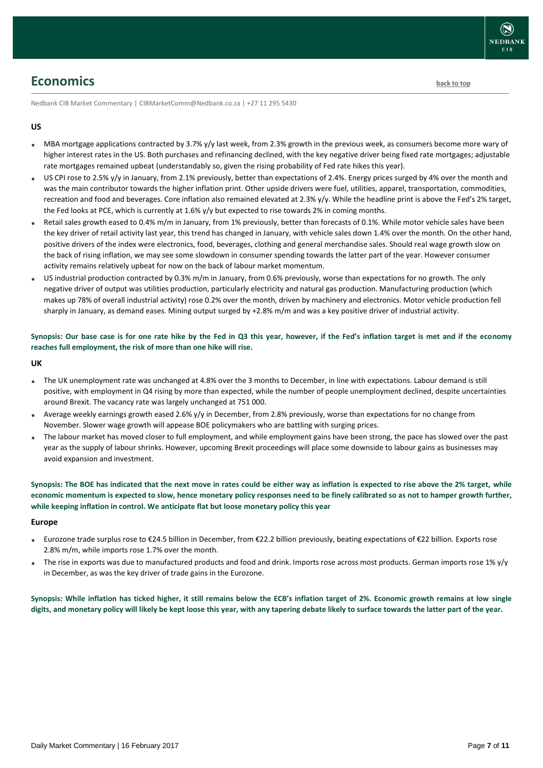### <span id="page-6-0"></span>**Economics [back to top](#page-0-0)**

Nedbank CIB Market Commentary | CIBMarketComm@Nedbank.co.za | +27 11 295 5430

### **US**

- MBA mortgage applications contracted by 3.7% y/y last week, from 2.3% growth in the previous week, as consumers become more wary of higher interest rates in the US. Both purchases and refinancing declined, with the key negative driver being fixed rate mortgages; adjustable rate mortgages remained upbeat (understandably so, given the rising probability of Fed rate hikes this year).
- US CPI rose to 2.5% y/y in January, from 2.1% previously, better than expectations of 2.4%. Energy prices surged by 4% over the month and was the main contributor towards the higher inflation print. Other upside drivers were fuel, utilities, apparel, transportation, commodities, recreation and food and beverages. Core inflation also remained elevated at 2.3% y/y. While the headline print is above the Fed's 2% target, the Fed looks at PCE, which is currently at 1.6% y/y but expected to rise towards 2% in coming months.
- Retail sales growth eased to 0.4% m/m in January, from 1% previously, better than forecasts of 0.1%. While motor vehicle sales have been the key driver of retail activity last year, this trend has changed in January, with vehicle sales down 1.4% over the month. On the other hand, positive drivers of the index were electronics, food, beverages, clothing and general merchandise sales. Should real wage growth slow on the back of rising inflation, we may see some slowdown in consumer spending towards the latter part of the year. However consumer activity remains relatively upbeat for now on the back of labour market momentum.
- US industrial production contracted by 0.3% m/m in January, from 0.6% previously, worse than expectations for no growth. The only negative driver of output was utilities production, particularly electricity and natural gas production. Manufacturing production (which makes up 78% of overall industrial activity) rose 0.2% over the month, driven by machinery and electronics. Motor vehicle production fell sharply in January, as demand eases. Mining output surged by +2.8% m/m and was a key positive driver of industrial activity.

### **Synopsis: Our base case is for one rate hike by the Fed in Q3 this year, however, if the Fed's inflation target is met and if the economy reaches full employment, the risk of more than one hike will rise.**

#### **UK**

- The UK unemployment rate was unchanged at 4.8% over the 3 months to December, in line with expectations. Labour demand is still positive, with employment in Q4 rising by more than expected, while the number of people unemployment declined, despite uncertainties around Brexit. The vacancy rate was largely unchanged at 751 000.
- Average weekly earnings growth eased 2.6% y/y in December, from 2.8% previously, worse than expectations for no change from November. Slower wage growth will appease BOE policymakers who are battling with surging prices.
- The labour market has moved closer to full employment, and while employment gains have been strong, the pace has slowed over the past year as the supply of labour shrinks. However, upcoming Brexit proceedings will place some downside to labour gains as businesses may avoid expansion and investment.

**Synopsis: The BOE has indicated that the next move in rates could be either way as inflation is expected to rise above the 2% target, while economic momentum is expected to slow, hence monetary policy responses need to be finely calibrated so as not to hamper growth further, while keeping inflation in control. We anticipate flat but loose monetary policy this year**

#### **Europe**

- Eurozone trade surplus rose to €24.5 billion in December, from €22.2 billion previously, beating expectations of €22 billion. Exports rose 2.8% m/m, while imports rose 1.7% over the month.
- The rise in exports was due to manufactured products and food and drink. Imports rose across most products. German imports rose 1% y/y in December, as was the key driver of trade gains in the Eurozone.

**Synopsis: While inflation has ticked higher, it still remains below the ECB's inflation target of 2%. Economic growth remains at low single digits, and monetary policy will likely be kept loose this year, with any tapering debate likely to surface towards the latter part of the year.**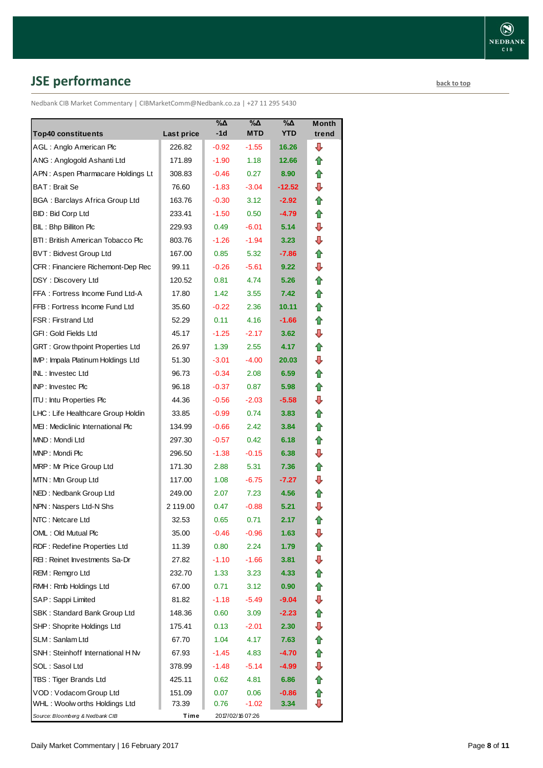# <span id="page-7-0"></span>**JSE performance [back to top](#page-0-0)**

Nedbank CIB Market Commentary | CIBMarketComm@Nedbank.co.za | +27 11 295 5430

| <b>Top40 constituents</b>          |                      | %Δ<br>$-1d$ | %Δ<br><b>MTD</b> | %Δ<br><b>YTD</b> | <b>Month</b><br>trend |
|------------------------------------|----------------------|-------------|------------------|------------------|-----------------------|
| AGL: Anglo American Plc            | Last price<br>226.82 | $-0.92$     | $-1.55$          | 16.26            | ⊕                     |
| ANG: Anglogold Ashanti Ltd         | 171.89               | $-1.90$     | 1.18             | 12.66            | ⇑                     |
| APN: Aspen Pharmacare Holdings Lt  | 308.83               | $-0.46$     | 0.27             | 8.90             | ⇑                     |
| BAT: Brait Se                      | 76.60                | $-1.83$     | $-3.04$          | $-12.52$         | ⇩                     |
| BGA: Barclays Africa Group Ltd     | 163.76               | $-0.30$     | 3.12             | $-2.92$          | ✿                     |
| <b>BID: Bid Corp Ltd</b>           | 233.41               | $-1.50$     | 0.50             | $-4.79$          | ⇑                     |
| BIL: Bhp Billiton Plc              | 229.93               | 0.49        | $-6.01$          | 5.14             | ⇩                     |
| BTI: British American Tobacco Plc  | 803.76               | $-1.26$     | $-1.94$          | 3.23             | ⇩                     |
| <b>BVT: Bidvest Group Ltd</b>      | 167.00               | 0.85        | 5.32             | $-7.86$          | ⇮                     |
| CFR : Financiere Richemont-Dep Rec | 99.11                | $-0.26$     | $-5.61$          | 9.22             | ⇩                     |
| DSY: Discovery Ltd                 | 120.52               | 0.81        | 4.74             | 5.26             | ✿                     |
| FFA: Fortress Income Fund Ltd-A    | 17.80                | 1.42        | 3.55             | 7.42             | ⇑                     |
| FFB: Fortress Income Fund Ltd      | 35.60                | $-0.22$     | 2.36             | 10.11            | ⇑                     |
| FSR: Firstrand Ltd                 | 52.29                | 0.11        | 4.16             | $-1.66$          | ✿                     |
| GFI : Gold Fields Ltd              | 45.17                |             |                  | 3.62             | ⇩                     |
|                                    |                      | $-1.25$     | $-2.17$          | 4.17             | 合                     |
| GRT: Grow thpoint Properties Ltd   | 26.97                | 1.39        | 2.55             |                  | ⇩                     |
| IMP: Impala Platinum Holdings Ltd  | 51.30                | $-3.01$     | $-4.00$          | 20.03            |                       |
| INL: Investec Ltd                  | 96.73                | $-0.34$     | 2.08             | 6.59             | ⇑                     |
| INP: Investec Plc                  | 96.18                | $-0.37$     | 0.87             | 5.98             | ✿                     |
| <b>ITU: Intu Properties Plc</b>    | 44.36                | $-0.56$     | $-2.03$          | $-5.58$          | ⇩                     |
| LHC: Life Healthcare Group Holdin  | 33.85                | $-0.99$     | 0.74             | 3.83             | ⇑                     |
| MEI: Mediclinic International Plc  | 134.99               | $-0.66$     | 2.42             | 3.84             | ⇑                     |
| MND: Mondi Ltd                     | 297.30               | $-0.57$     | 0.42             | 6.18             | ✿                     |
| MNP: Mondi Plc                     | 296.50               | $-1.38$     | $-0.15$          | 6.38             | ⇩                     |
| MRP: Mr Price Group Ltd            | 171.30               | 2.88        | 5.31             | 7.36             | ⇑                     |
| MTN: Mtn Group Ltd                 | 117.00               | 1.08        | $-6.75$          | $-7.27$          | ⇩                     |
| NED: Nedbank Group Ltd             | 249.00               | 2.07        | 7.23             | 4.56             | ⇑                     |
| NPN: Naspers Ltd-N Shs             | 2 119.00             | 0.47        | $-0.88$          | 5.21             | ⇩                     |
| NTC: Netcare Ltd                   | 32.53                | 0.65        | 0.71             | 2.17             | ✿                     |
| OML: Old Mutual Plc                | 35.00                | $-0.46$     | $-0.96$          | 1.63             | ⇩                     |
| RDF: Redefine Properties Ltd       | 11.39                | 0.80        | 2.24             | 1.79             |                       |
| REI : Reinet Investments Sa-Dr     | 27.82                | $-1.10$     | $-1.66$          | 3.81             | ⇩                     |
| REM: Remgro Ltd                    | 232.70               | 1.33        | 3.23             | 4.33             | ⇑                     |
| RMH: Rmb Holdings Ltd              | 67.00                | 0.71        | 3.12             | 0.90             | 合                     |
| SAP: Sappi Limited                 | 81.82                | -1.18       | -5.49            | $-9.04$          | ⊕                     |
| SBK: Standard Bank Group Ltd       | 148.36               | 0.60        | 3.09             | $-2.23$          | ⇑                     |
| SHP: Shoprite Holdings Ltd         | 175.41               | 0.13        | $-2.01$          | 2.30             | ⊕                     |
| SLM : Sanlam Ltd                   | 67.70                | 1.04        | 4.17             | 7.63             | €                     |
| SNH : Steinhoff International H Nv | 67.93                | $-1.45$     | 4.83             | -4.70            | ⇑                     |
| SOL : Sasol Ltd                    | 378.99               | -1.48       | $-5.14$          | -4.99            | ⊕                     |
| TBS: Tiger Brands Ltd              | 425.11               | 0.62        | 4.81             | 6.86             | ⇮                     |
| VOD: Vodacom Group Ltd             | 151.09               | 0.07        | 0.06             | $-0.86$          | ⇑                     |
| WHL : Woolw orths Holdings Ltd     | 73.39                | 0.76        | -1.02            | 3.34             | ⊕                     |
| Source: Bloomberg & Nedbank CIB    | Time                 |             | 2017/02/16 07:26 |                  |                       |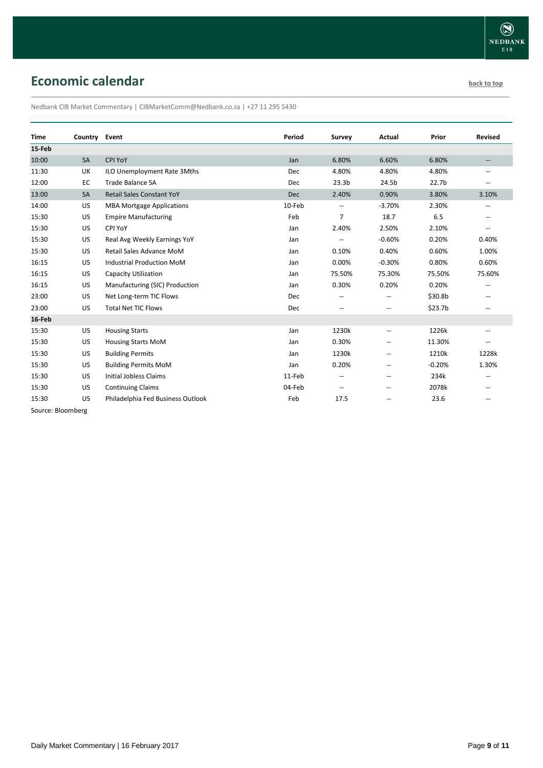# <span id="page-8-0"></span>**Economic calendar [back to top](#page-0-0) back to top**

Nedbank CIB Market Commentary | CIBMarketComm@Nedbank.co.za | +27 11 295 5430

|           |                                   | Period        | Survey                   | Actual                   | Prior             | <b>Revised</b>           |
|-----------|-----------------------------------|---------------|--------------------------|--------------------------|-------------------|--------------------------|
|           |                                   |               |                          |                          |                   |                          |
| <b>SA</b> | CPI YoY                           | Jan           | 6.80%                    | 6.60%                    | 6.80%             |                          |
| UK        | ILO Unemployment Rate 3Mths       | Dec           | 4.80%                    | 4.80%                    | 4.80%             | --                       |
| EC        | <b>Trade Balance SA</b>           | Dec           | 23.3 <sub>b</sub>        | 24.5b                    | 22.7 <sub>b</sub> |                          |
| SA        | <b>Retail Sales Constant YoY</b>  | Dec           | 2.40%                    | 0.90%                    | 3.80%             | 3.10%                    |
| US        | <b>MBA Mortgage Applications</b>  | 10-Feb        | $\overline{\phantom{a}}$ | $-3.70%$                 | 2.30%             | ۰.                       |
| US        | <b>Empire Manufacturing</b>       | Feb           | $\overline{7}$           | 18.7                     | 6.5               |                          |
| US        | CPI YoY                           | Jan           | 2.40%                    | 2.50%                    | 2.10%             | $\overline{\phantom{a}}$ |
| US        | Real Avg Weekly Earnings YoY      | Jan           |                          | $-0.60%$                 | 0.20%             | 0.40%                    |
| US        | Retail Sales Advance MoM          | Jan           | 0.10%                    | 0.40%                    | 0.60%             | 1.00%                    |
| US        | <b>Industrial Production MoM</b>  | Jan           | 0.00%                    | $-0.30%$                 | 0.80%             | 0.60%                    |
| US        | <b>Capacity Utilization</b>       | Jan           | 75.50%                   | 75.30%                   | 75.50%            | 75.60%                   |
| US        | Manufacturing (SIC) Production    | Jan           | 0.30%                    | 0.20%                    | 0.20%             | --                       |
| US        | Net Long-term TIC Flows           | <b>Dec</b>    | $\qquad \qquad -$        | $\overline{\phantom{a}}$ | \$30.8b           | --                       |
| US        | <b>Total Net TIC Flows</b>        | Dec           | --                       | $\overline{\phantom{a}}$ | \$23.7b           | $-$                      |
|           |                                   |               |                          |                          |                   |                          |
| US        | <b>Housing Starts</b>             | Jan           | 1230k                    | $\hspace{0.05cm} -$      | 1226k             | $\overline{\phantom{a}}$ |
| US        | <b>Housing Starts MoM</b>         | Jan           | 0.30%                    | $\overline{\phantom{a}}$ | 11.30%            | --                       |
| US        | <b>Building Permits</b>           | Jan           | 1230k                    | $\hspace{0.05cm} -$      | 1210k             | 1228k                    |
| US        | <b>Building Permits MoM</b>       | Jan           | 0.20%                    | $\overline{\phantom{a}}$ | $-0.20%$          | 1.30%                    |
| US        | <b>Initial Jobless Claims</b>     | 11-Feb        | --                       | $\overline{\phantom{m}}$ | 234k              | $\overline{\phantom{a}}$ |
| US        | <b>Continuing Claims</b>          | 04-Feb        | $\qquad \qquad -$        | $\overline{\phantom{a}}$ | 2078k             |                          |
| US        | Philadelphia Fed Business Outlook | Feb           | 17.5                     | $\overline{\phantom{m}}$ | 23.6              |                          |
|           |                                   | Country Event |                          |                          |                   |                          |

Source: Bloomberg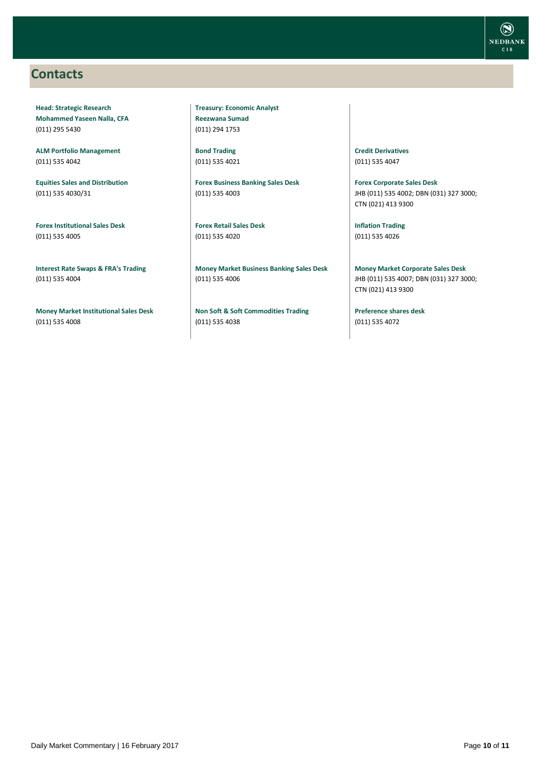### <span id="page-9-0"></span>**Contacts**

**Head: Strategic Research Mohammed Yaseen Nalla, CFA** (011) 295 5430

**ALM Portfolio Management** (011) 535 4042

**Equities Sales and Distribution** (011) 535 4030/31

**Forex Institutional Sales Desk** (011) 535 4005

**Interest Rate Swaps & FRA's Trading** (011) 535 4004

**Money Market Institutional Sales Desk** (011) 535 4008

**Treasury: Economic Analyst Reezwana Sumad** (011) 294 1753

**Bond Trading** (011) 535 4021

**Forex Business Banking Sales Desk** (011) 535 4003

**Forex Retail Sales Desk** (011) 535 4020

**Money Market Business Banking Sales Desk** (011) 535 4006

**Non Soft & Soft Commodities Trading** (011) 535 4038

**Credit Derivatives**  (011) 535 4047

**Forex Corporate Sales Desk** JHB (011) 535 4002; DBN (031) 327 3000; CTN (021) 413 9300

**Inflation Trading** (011) 535 4026

**Money Market Corporate Sales Desk** JHB (011) 535 4007; DBN (031) 327 3000; CTN (021) 413 9300

**Preference shares desk** (011) 535 4072